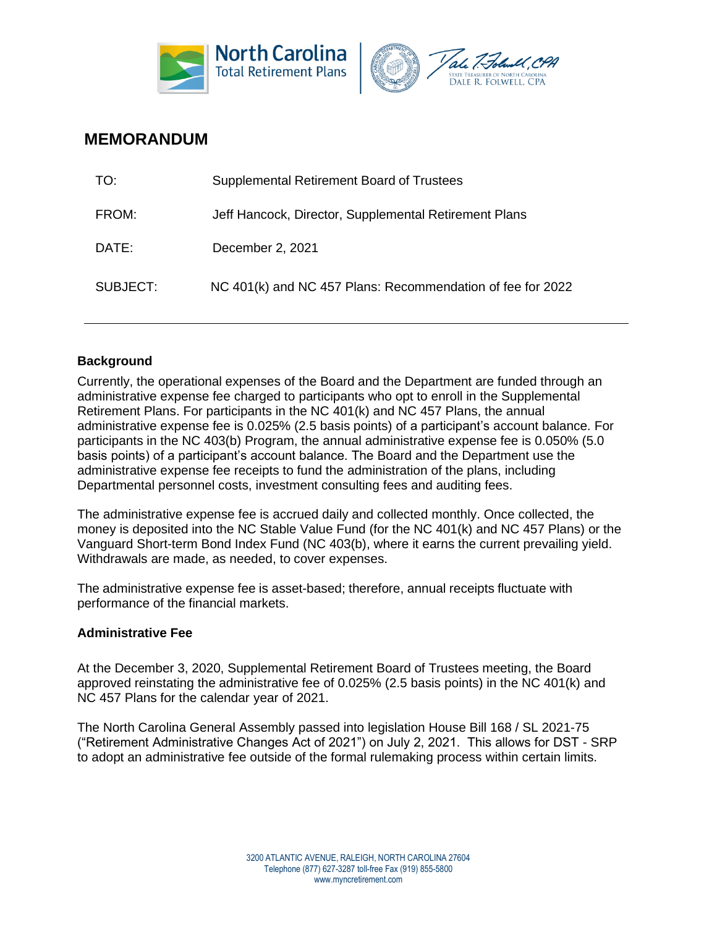



# **MEMORANDUM**

| TO:      | Supplemental Retirement Board of Trustees                  |
|----------|------------------------------------------------------------|
| FROM:    | Jeff Hancock, Director, Supplemental Retirement Plans      |
| DATE:    | December 2, 2021                                           |
| SUBJECT: | NC 401(k) and NC 457 Plans: Recommendation of fee for 2022 |

## **Background**

Currently, the operational expenses of the Board and the Department are funded through an administrative expense fee charged to participants who opt to enroll in the Supplemental Retirement Plans. For participants in the NC 401(k) and NC 457 Plans, the annual administrative expense fee is 0.025% (2.5 basis points) of a participant's account balance. For participants in the NC 403(b) Program, the annual administrative expense fee is 0.050% (5.0 basis points) of a participant's account balance. The Board and the Department use the administrative expense fee receipts to fund the administration of the plans, including Departmental personnel costs, investment consulting fees and auditing fees.

The administrative expense fee is accrued daily and collected monthly. Once collected, the money is deposited into the NC Stable Value Fund (for the NC 401(k) and NC 457 Plans) or the Vanguard Short-term Bond Index Fund (NC 403(b), where it earns the current prevailing yield. Withdrawals are made, as needed, to cover expenses.

The administrative expense fee is asset-based; therefore, annual receipts fluctuate with performance of the financial markets.

### **Administrative Fee**

At the December 3, 2020, Supplemental Retirement Board of Trustees meeting, the Board approved reinstating the administrative fee of 0.025% (2.5 basis points) in the NC 401(k) and NC 457 Plans for the calendar year of 2021.

The North Carolina General Assembly passed into legislation House Bill 168 / SL 2021-75 ("Retirement Administrative Changes Act of 2021") on July 2, 2021. This allows for DST - SRP to adopt an administrative fee outside of the formal rulemaking process within certain limits.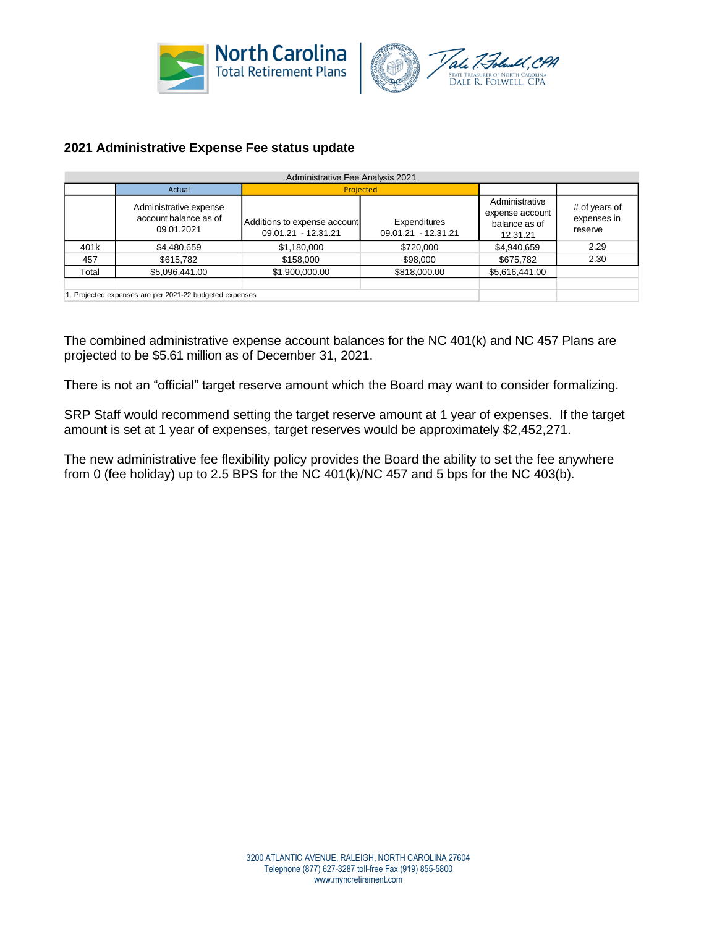



## **2021 Administrative Expense Fee status update**

| Administrative Fee Analysis 2021 |                                                               |                                                     |                                     |                                                                |                                         |  |  |  |
|----------------------------------|---------------------------------------------------------------|-----------------------------------------------------|-------------------------------------|----------------------------------------------------------------|-----------------------------------------|--|--|--|
|                                  | Actual                                                        | Projected                                           |                                     |                                                                |                                         |  |  |  |
|                                  | Administrative expense<br>account balance as of<br>09.01.2021 | Additions to expense account<br>09.01.21 - 12.31.21 | Expenditures<br>09.01.21 - 12.31.21 | Administrative<br>expense account<br>balance as of<br>12.31.21 | # of years of<br>expenses in<br>reserve |  |  |  |
| 401k                             | \$4,480,659                                                   | \$1,180,000                                         | \$720,000                           | \$4,940,659                                                    | 2.29                                    |  |  |  |
| 457                              | \$615,782                                                     | \$158,000                                           | \$98,000                            | \$675,782                                                      | 2.30                                    |  |  |  |
| Total                            | \$5,096,441.00                                                | \$1,900,000.00                                      | \$818,000.00                        | \$5,616,441.00                                                 |                                         |  |  |  |
|                                  | 1. Projected expenses are per 2021-22 budgeted expenses       |                                                     |                                     |                                                                |                                         |  |  |  |

The combined administrative expense account balances for the NC 401(k) and NC 457 Plans are projected to be \$5.61 million as of December 31, 2021.

There is not an "official" target reserve amount which the Board may want to consider formalizing.

SRP Staff would recommend setting the target reserve amount at 1 year of expenses. If the target amount is set at 1 year of expenses, target reserves would be approximately \$2,452,271.

The new administrative fee flexibility policy provides the Board the ability to set the fee anywhere from 0 (fee holiday) up to 2.5 BPS for the NC 401(k)/NC 457 and 5 bps for the NC 403(b).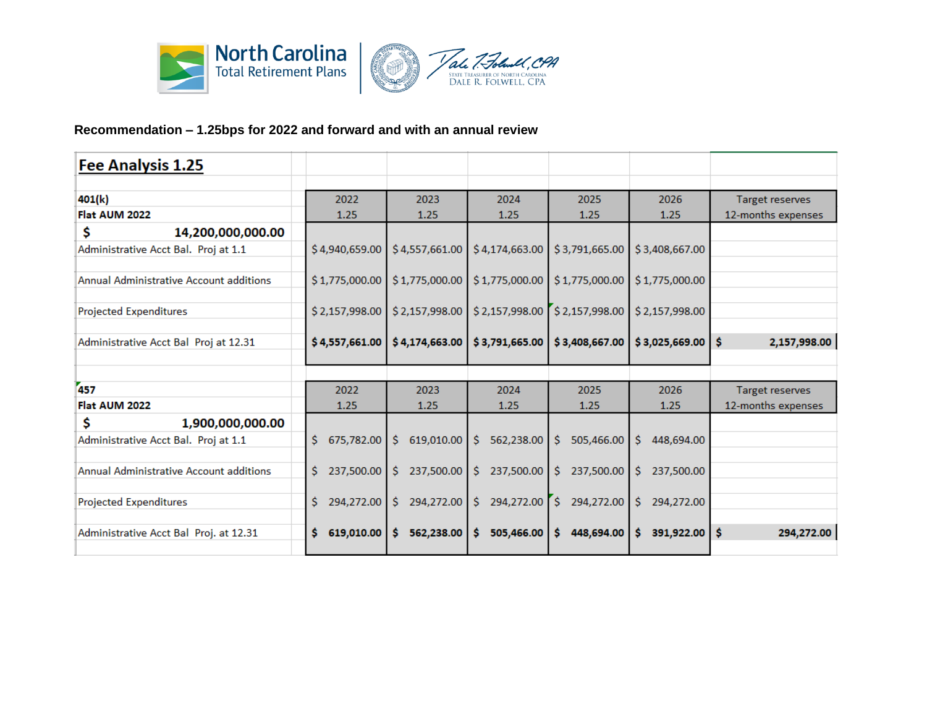

# **Recommendation – 1.25bps for 2022 and forward and with an annual review**

| Fee Analysis 1.25                       |                       |                                   |                                                                   |                  |                  |                        |
|-----------------------------------------|-----------------------|-----------------------------------|-------------------------------------------------------------------|------------------|------------------|------------------------|
|                                         |                       |                                   |                                                                   |                  |                  |                        |
| 401(k)                                  | 2022                  | 2023                              | 2024                                                              | 2025             | 2026             | <b>Target reserves</b> |
| Flat AUM 2022                           | 1.25                  | 1.25                              | 1.25                                                              | 1.25             | 1.25             | 12-months expenses     |
| Ś<br>14,200,000,000.00                  |                       |                                   |                                                                   |                  |                  |                        |
| Administrative Acct Bal. Proj at 1.1    | \$4,940,659.00        |                                   | $$4,557,661.00$ $$4,174,663.00$                                   | \$3,791,665.00   | \$3,408,667.00   |                        |
|                                         |                       |                                   |                                                                   |                  |                  |                        |
| Annual Administrative Account additions |                       |                                   | \$1,775,000.00   \$1,775,000.00   \$1,775,000.00                  | \$1,775,000.00   | \$1,775,000.00   |                        |
|                                         |                       |                                   |                                                                   |                  |                  |                        |
| <b>Projected Expenditures</b>           |                       |                                   | \$2,157,998.00   \$2,157,998.00   \$2,157,998.00   \$2,157,998.00 |                  | \$2,157,998.00   |                        |
|                                         |                       |                                   |                                                                   |                  |                  |                        |
| Administrative Acct Bal Proj at 12.31   | \$4,557,661.00        | \$4,174,663.00                    | \$3,791,665.00                                                    | \$3,408,667.00   | \$3,025,669.00   | \$.<br>2,157,998.00    |
|                                         |                       |                                   |                                                                   |                  |                  |                        |
| 457                                     | 2022                  | 2023                              | 2024                                                              | 2025             | 2026             | <b>Target reserves</b> |
| Flat AUM 2022                           | 1.25                  | 1.25                              | 1.25                                                              | 1.25             | 1.25             | 12-months expenses     |
| \$<br>1,900,000,000.00                  |                       |                                   |                                                                   |                  |                  |                        |
| Administrative Acct Bal. Proj at 1.1    | \$.<br>675,782.00     | \$619,010.00                      | 562,238.00<br>Ŝ.                                                  | Ŝ.<br>505,466.00 | Ŝ.<br>448,694.00 |                        |
|                                         |                       |                                   |                                                                   |                  |                  |                        |
| Annual Administrative Account additions | \$.                   | 237,500.00   \$ 237,500.00        | $\frac{1}{2}$ 237,500.00                                          | S.<br>237.500.00 | 237,500.00<br>S. |                        |
|                                         |                       |                                   |                                                                   |                  |                  |                        |
| <b>Projected Expenditures</b>           | \$<br>$294,272.00$ \$ |                                   | 294,272.00 \$ 294,272.00 \$                                       | 294,272.00       | \$<br>294,272.00 |                        |
|                                         |                       |                                   |                                                                   |                  |                  |                        |
| Administrative Acct Bal Proj. at 12.31  | Ś.                    | $619,010.00$   \$ 562,238.00   \$ | 505,466.00                                                        | \$448,694.00     | Ŝ.<br>391,922.00 | 'Ŝ<br>294,272.00       |
|                                         |                       |                                   |                                                                   |                  |                  |                        |